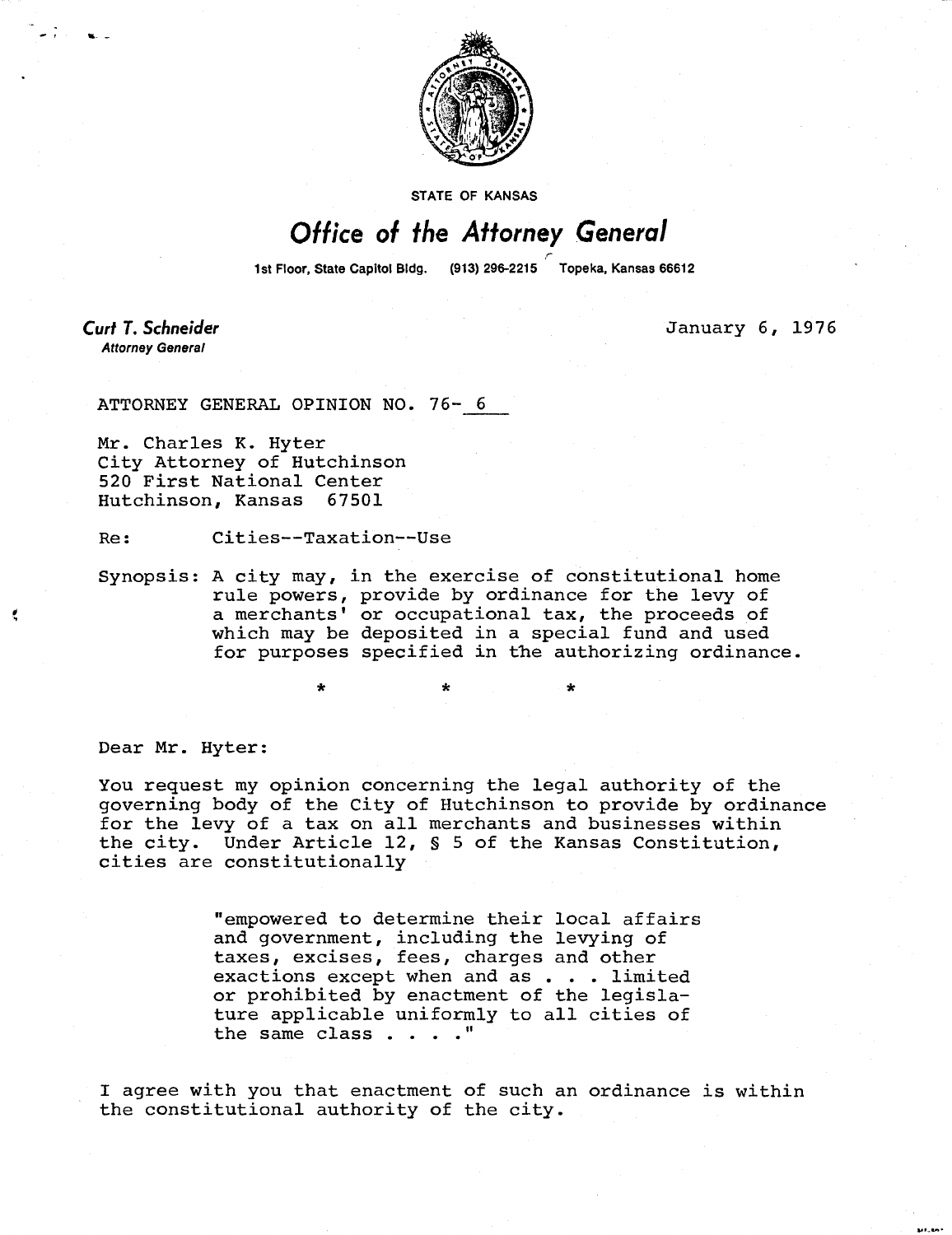

**STATE OF KANSAS** 

## Office of the Attorney General

1st Floor, State Capitol Bldg. (913) 296-2215 Topeka, Kansas 66612

**Curt T. Schneider Attorney General** 

January 6, 1976

ATTORNEY GENERAL OPINION NO. 76- 6

Mr. Charles K. Hyter City Attorney of Hutchinson 520 First National Center Hutchinson, Kansas 67501

Re: Cities--Taxation--Use

Synopsis: A city may, in the exercise of constitutional home rule powers, provide by ordinance for the levy of a merchants' or occupational tax, the proceeds of which may be deposited in a special fund and used for purposes specified in the authorizing ordinance.

\* \*

Dear Mr. Hyter:

You request my opinion concerning the legal authority of the governing body of the City of Hutchinson to provide by ordinance for the levy of a tax on all merchants and businesses within the city. Under Article 12, § 5 of the Kansas Constitution, cities are constitutionally

> "empowered to determine their local affairs and government, including the levying of taxes, excises, fees, charges and other exactions except when and as . . . limited or prohibited by enactment of the legislature applicable uniformly to all cities of the same class . . . ."

I agree with you that enactment of such an ordinance is within the constitutional authority of the city.